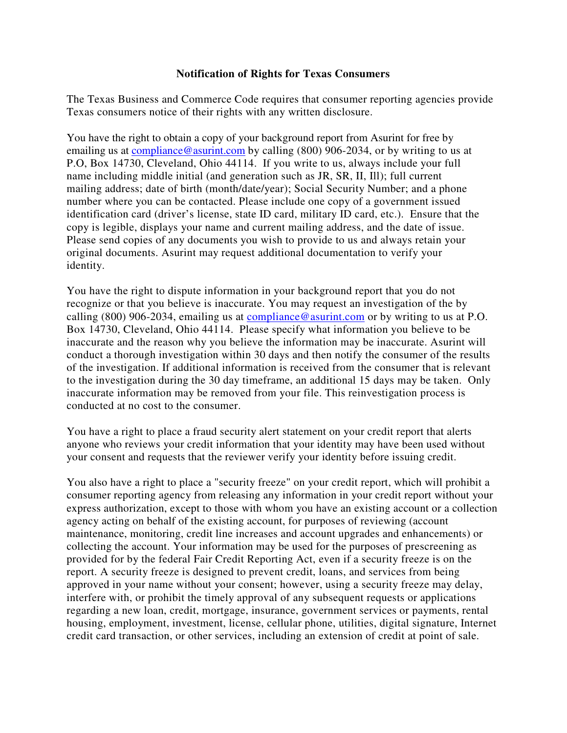## **Notification of Rights for Texas Consumers**

The Texas Business and Commerce Code requires that consumer reporting agencies provide Texas consumers notice of their rights with any written disclosure.

You have the right to obtain a copy of your background report from Asurint for free by emailing us at compliance@asurint.com by calling (800) 906-2034, or by writing to us at P.O, Box 14730, Cleveland, Ohio 44114. If you write to us, always include your full name including middle initial (and generation such as JR, SR, II, Ill); full current mailing address; date of birth (month/date/year); Social Security Number; and a phone number where you can be contacted. Please include one copy of a government issued identification card (driver's license, state ID card, military ID card, etc.). Ensure that the copy is legible, displays your name and current mailing address, and the date of issue. Please send copies of any documents you wish to provide to us and always retain your original documents. Asurint may request additional documentation to verify your identity.

You have the right to dispute information in your background report that you do not recognize or that you believe is inaccurate. You may request an investigation of the by calling (800) 906-2034, emailing us at compliance@asurint.com or by writing to us at P.O. Box 14730, Cleveland, Ohio 44114. Please specify what information you believe to be inaccurate and the reason why you believe the information may be inaccurate. Asurint will conduct a thorough investigation within 30 days and then notify the consumer of the results of the investigation. If additional information is received from the consumer that is relevant to the investigation during the 30 day timeframe, an additional 15 days may be taken. Only inaccurate information may be removed from your file. This reinvestigation process is conducted at no cost to the consumer.

You have a right to place a fraud security alert statement on your credit report that alerts anyone who reviews your credit information that your identity may have been used without your consent and requests that the reviewer verify your identity before issuing credit.

You also have a right to place a "security freeze" on your credit report, which will prohibit a consumer reporting agency from releasing any information in your credit report without your express authorization, except to those with whom you have an existing account or a collection agency acting on behalf of the existing account, for purposes of reviewing (account maintenance, monitoring, credit line increases and account upgrades and enhancements) or collecting the account. Your information may be used for the purposes of prescreening as provided for by the federal Fair Credit Reporting Act, even if a security freeze is on the report. A security freeze is designed to prevent credit, loans, and services from being approved in your name without your consent; however, using a security freeze may delay, interfere with, or prohibit the timely approval of any subsequent requests or applications regarding a new loan, credit, mortgage, insurance, government services or payments, rental housing, employment, investment, license, cellular phone, utilities, digital signature, Internet credit card transaction, or other services, including an extension of credit at point of sale.